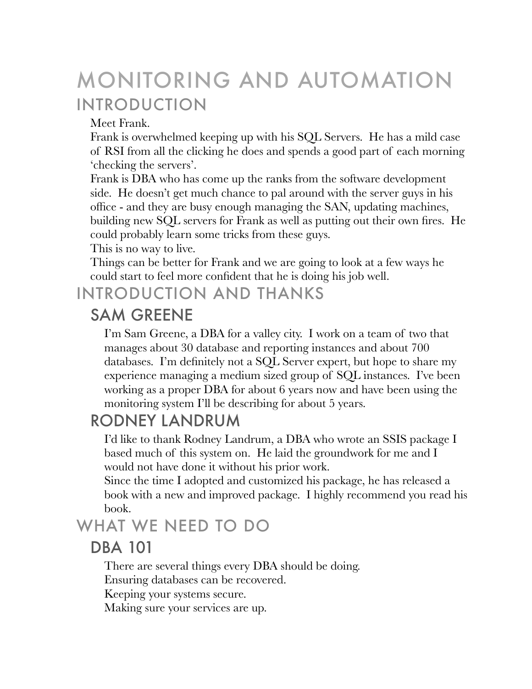# MONITORING AND AUTOMATION INTRODUCTION

Meet Frank.

Frank is overwhelmed keeping up with his SQL Servers. He has a mild case of RSI from all the clicking he does and spends a good part of each morning 'checking the servers'.

Frank is DBA who has come up the ranks from the software development side. He doesn't get much chance to pal around with the server guys in his office - and they are busy enough managing the SAN, updating machines, building new SQL servers for Frank as well as putting out their own fires. He could probably learn some tricks from these guys.

This is no way to live.

Things can be better for Frank and we are going to look at a few ways he could start to feel more confident that he is doing his job well.

## INTRODUCTION AND THANKS

### SAM GREENE

I'm Sam Greene, a DBA for a valley city. I work on a team of two that manages about 30 database and reporting instances and about 700 databases. I'm definitely not a SQL Server expert, but hope to share my experience managing a medium sized group of SQL instances. I've been working as a proper DBA for about 6 years now and have been using the monitoring system I'll be describing for about 5 years.

## RODNEY LANDRUM

I'd like to thank Rodney Landrum, a DBA who wrote an SSIS package I based much of this system on. He laid the groundwork for me and I would not have done it without his prior work.

Since the time I adopted and customized his package, he has released a book with a new and improved package. I highly recommend you read his book.

## WHAT WE NEED TO DO

### DBA 101

There are several things every DBA should be doing.

Ensuring databases can be recovered.

Keeping your systems secure.

Making sure your services are up.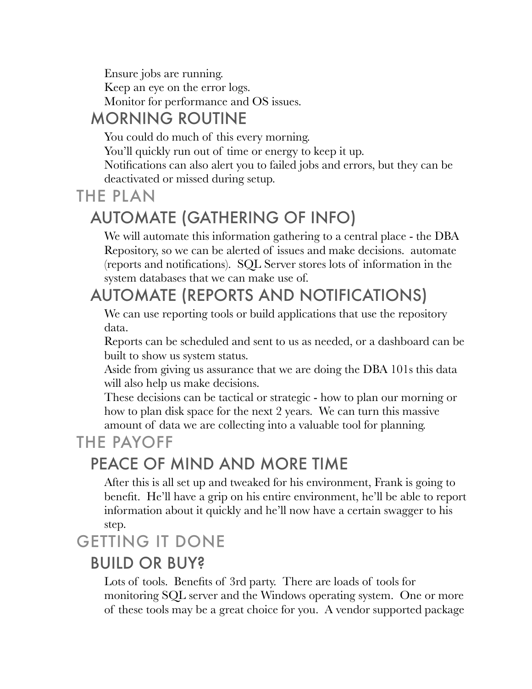Ensure jobs are running. Keep an eye on the error logs. Monitor for performance and OS issues.

## MORNING ROUTINE

You could do much of this every morning.

You'll quickly run out of time or energy to keep it up.

Notifications can also alert you to failed jobs and errors, but they can be deactivated or missed during setup.

### THE PLAN

# AUTOMATE (GATHERING OF INFO)

We will automate this information gathering to a central place - the DBA Repository, so we can be alerted of issues and make decisions. automate (reports and notifications). SQL Server stores lots of information in the system databases that we can make use of.

## AUTOMATE (REPORTS AND NOTIFICATIONS)

We can use reporting tools or build applications that use the repository data.

Reports can be scheduled and sent to us as needed, or a dashboard can be built to show us system status.

Aside from giving us assurance that we are doing the DBA 101s this data will also help us make decisions.

These decisions can be tactical or strategic - how to plan our morning or how to plan disk space for the next 2 years. We can turn this massive amount of data we are collecting into a valuable tool for planning.

## THE PAYOFF

## PEACE OF MIND AND MORE TIME

After this is all set up and tweaked for his environment, Frank is going to benefit. He'll have a grip on his entire environment, he'll be able to report information about it quickly and he'll now have a certain swagger to his step.

## GETTING IT DONE

### BUILD OR BUY?

Lots of tools. Benefits of 3rd party. There are loads of tools for monitoring SQL server and the Windows operating system. One or more of these tools may be a great choice for you. A vendor supported package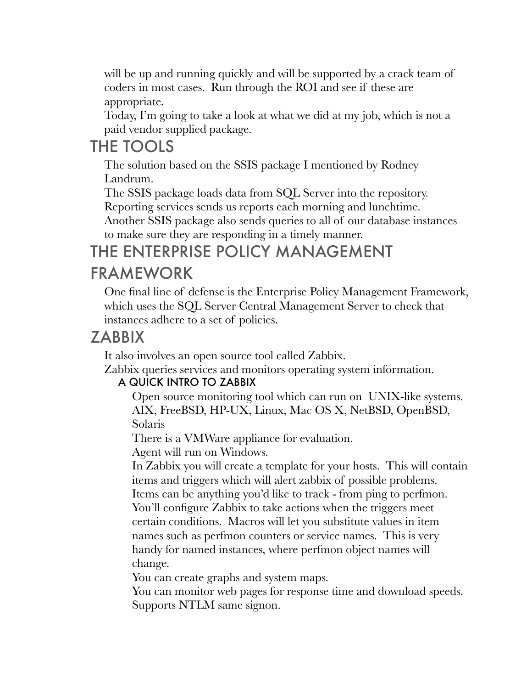will be up and running quickly and will be supported by a crack team of coders in most cases. Run through the ROI and see if these are appropriate.

Today, I'm going to take a look at what we did at my job, which is not a paid vendor supplied package.

## THE TOOLS

The solution based on the SSIS package I mentioned by Rodney Landrum.

The SSIS package loads data from SQL Server into the repository.

Reporting services sends us reports each morning and lunchtime.

Another SSIS package also sends queries to all of our database instances to make sure they are responding in a timely manner.

### THE ENTERPRISE POLICY MANAGEMENT FRAMEWORK

#### One final line of defense is the Enterprise Policy Management Framework, which uses the SQL Server Central Management Server to check that instances adhere to a set of policies.

### ZABBIX

It also involves an open source tool called Zabbix.

Zabbix queries services and monitors operating system information.

#### A QUICK INTRO TO ZABBIX

Open source monitoring tool which can run on UNIX-like systems. AIX, FreeBSD, HP-UX, Linux, Mac OS X, NetBSD, OpenBSD, Solaris

There is a VMWare appliance for evaluation.

Agent will run on Windows.

In Zabbix you will create a template for your hosts. This will contain items and triggers which will alert zabbix of possible problems. Items can be anything you'd like to track - from ping to perfmon. You'll configure Zabbix to take actions when the triggers meet certain conditions. Macros will let you substitute values in item names such as perfmon counters or service names. This is very handy for named instances, where perfmon object names will change.

You can create graphs and system maps.

You can monitor web pages for response time and download speeds. Supports NTLM same signon.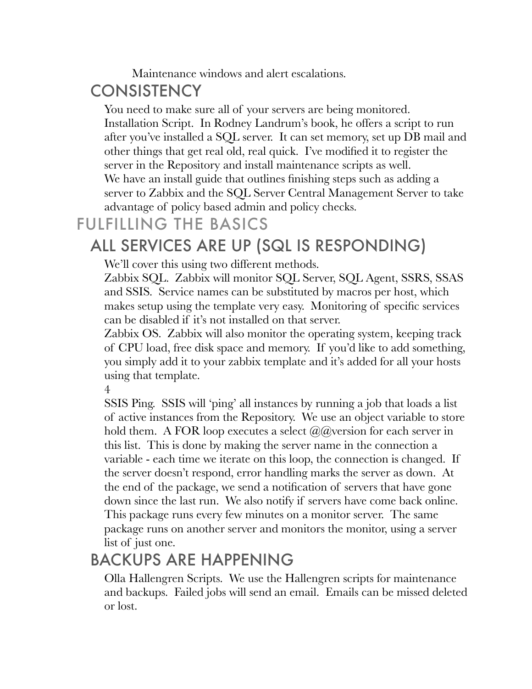#### Maintenance windows and alert escalations.

## **CONSISTENCY**

You need to make sure all of your servers are being monitored. Installation Script. In Rodney Landrum's book, he offers a script to run after you've installed a SQL server. It can set memory, set up DB mail and other things that get real old, real quick. I've modified it to register the server in the Repository and install maintenance scripts as well. We have an install guide that outlines finishing steps such as adding a server to Zabbix and the SQL Server Central Management Server to take advantage of policy based admin and policy checks.

### FULFILLING THE BASICS

## ALL SERVICES ARE UP (SQL IS RESPONDING)

We'll cover this using two different methods.

Zabbix SQL. Zabbix will monitor SQL Server, SQL Agent, SSRS, SSAS and SSIS. Service names can be substituted by macros per host, which makes setup using the template very easy. Monitoring of specific services can be disabled if it's not installed on that server.

Zabbix OS. Zabbix will also monitor the operating system, keeping track of CPU load, free disk space and memory. If you'd like to add something, you simply add it to your zabbix template and it's added for all your hosts using that template.

4

SSIS Ping. SSIS will 'ping' all instances by running a job that loads a list of active instances from the Repository. We use an object variable to store hold them. A FOR loop executes a select  $(a/a)$  version for each server in this list. This is done by making the server name in the connection a variable - each time we iterate on this loop, the connection is changed. If the server doesn't respond, error handling marks the server as down. At the end of the package, we send a notification of servers that have gone down since the last run. We also notify if servers have come back online. This package runs every few minutes on a monitor server. The same package runs on another server and monitors the monitor, using a server list of just one.

## BACKUPS ARE HAPPENING

Olla Hallengren Scripts. We use the Hallengren scripts for maintenance and backups. Failed jobs will send an email. Emails can be missed deleted or lost.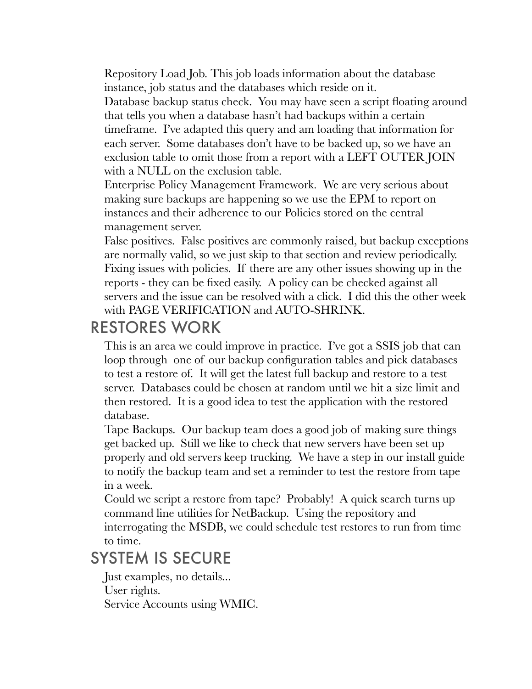Repository Load Job. This job loads information about the database instance, job status and the databases which reside on it. Database backup status check. You may have seen a script floating around that tells you when a database hasn't had backups within a certain timeframe. I've adapted this query and am loading that information for each server. Some databases don't have to be backed up, so we have an exclusion table to omit those from a report with a LEFT OUTER JOIN with a NULL on the exclusion table.

Enterprise Policy Management Framework. We are very serious about making sure backups are happening so we use the EPM to report on instances and their adherence to our Policies stored on the central management server.

False positives. False positives are commonly raised, but backup exceptions are normally valid, so we just skip to that section and review periodically. Fixing issues with policies. If there are any other issues showing up in the reports - they can be fixed easily. A policy can be checked against all servers and the issue can be resolved with a click. I did this the other week with PAGE VERIFICATION and AUTO-SHRINK.

### RESTORES WORK

This is an area we could improve in practice. I've got a SSIS job that can loop through one of our backup configuration tables and pick databases to test a restore of. It will get the latest full backup and restore to a test server. Databases could be chosen at random until we hit a size limit and then restored. It is a good idea to test the application with the restored database.

Tape Backups. Our backup team does a good job of making sure things get backed up. Still we like to check that new servers have been set up properly and old servers keep trucking. We have a step in our install guide to notify the backup team and set a reminder to test the restore from tape in a week.

Could we script a restore from tape? Probably! A quick search turns up command line utilities for NetBackup. Using the repository and interrogating the MSDB, we could schedule test restores to run from time to time.

## SYSTEM IS SECURE

Just examples, no details... User rights. Service Accounts using WMIC.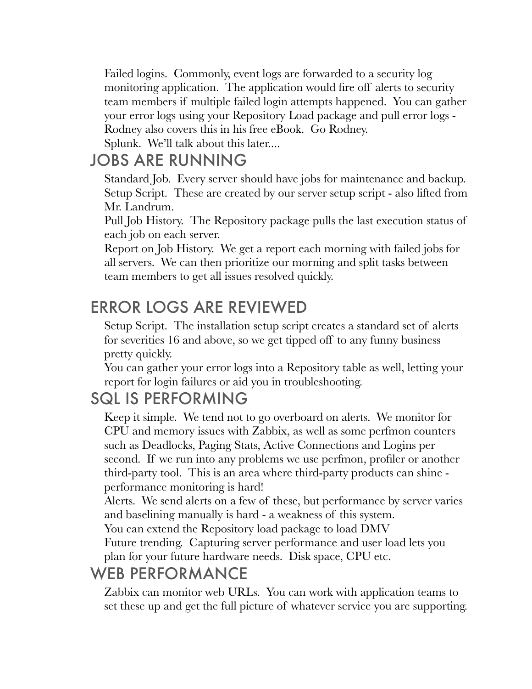Failed logins. Commonly, event logs are forwarded to a security log monitoring application. The application would fire off alerts to security team members if multiple failed login attempts happened. You can gather your error logs using your Repository Load package and pull error logs - Rodney also covers this in his free eBook. Go Rodney.

Splunk. We'll talk about this later....

## JOBS ARE RUNNING

Standard Job. Every server should have jobs for maintenance and backup. Setup Script. These are created by our server setup script - also lifted from Mr. Landrum.

Pull Job History. The Repository package pulls the last execution status of each job on each server.

Report on Job History. We get a report each morning with failed jobs for all servers. We can then prioritize our morning and split tasks between team members to get all issues resolved quickly.

## ERROR LOGS ARE REVIEWED

Setup Script. The installation setup script creates a standard set of alerts for severities 16 and above, so we get tipped off to any funny business pretty quickly.

You can gather your error logs into a Repository table as well, letting your report for login failures or aid you in troubleshooting.

## SQL IS PERFORMING

Keep it simple. We tend not to go overboard on alerts. We monitor for CPU and memory issues with Zabbix, as well as some perfmon counters such as Deadlocks, Paging Stats, Active Connections and Logins per second. If we run into any problems we use perfmon, profiler or another third-party tool. This is an area where third-party products can shine performance monitoring is hard!

Alerts. We send alerts on a few of these, but performance by server varies and baselining manually is hard - a weakness of this system.

You can extend the Repository load package to load DMV

Future trending. Capturing server performance and user load lets you plan for your future hardware needs. Disk space, CPU etc.

## WEB PERFORMANCE

Zabbix can monitor web URLs. You can work with application teams to set these up and get the full picture of whatever service you are supporting.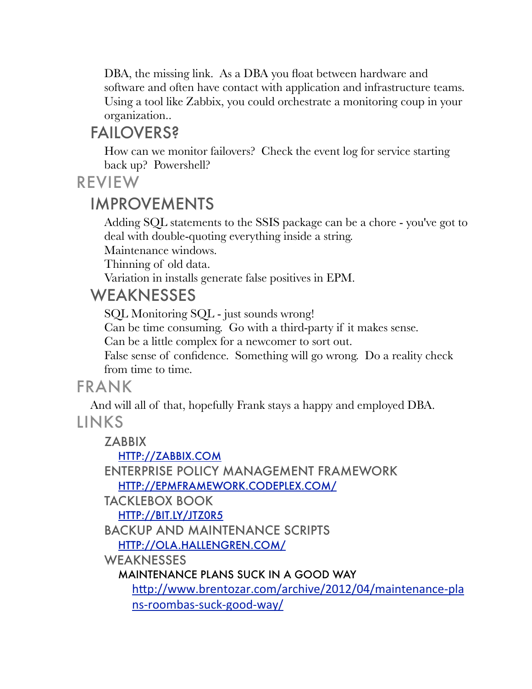DBA, the missing link. As a DBA you float between hardware and software and often have contact with application and infrastructure teams. Using a tool like Zabbix, you could orchestrate a monitoring coup in your organization..

### FAILOVERS?

How can we monitor failovers? Check the event log for service starting back up? Powershell?

REVIEW

### IMPROVEMENTS

Adding SQL statements to the SSIS package can be a chore - you've got to deal with double-quoting everything inside a string.

Maintenance windows.

Thinning of old data.

Variation in installs generate false positives in EPM.

### WEAKNESSES

SQL Monitoring SQL - just sounds wrong!

Can be time consuming. Go with a third-party if it makes sense.

Can be a little complex for a newcomer to sort out.

False sense of confidence. Something will go wrong. Do a reality check from time to time.

### FRANK

And will all of that, hopefully Frank stays a happy and employed DBA.

### LINKS

**ZABBIX** [HTTP://ZABBIX.COM](http://zabbix.com) ENTERPRISE POLICY MANAGEMENT FRAMEWORK [HTTP://EPMFRAMEWORK.CODEPLEX.COM/](http://epmframework.codeplex.com/) TACKLEBOX BOOK [HTTP://BIT.LY/JTZ0R5](http://bit.ly/Jtz0R5) BACKUP AND MAINTENANCE SCRIPTS [HTTP://OLA.HALLENGREN.COM/](http://ola.hallengren.com/) **WEAKNESSES** MAINTENANCE PLANS SUCK IN A GOOD WAY http://www.brentozar.com/archive/2012/04/maintenance-pla [ns-roombas-suck-good-way/](http://livepage.apple.com/)